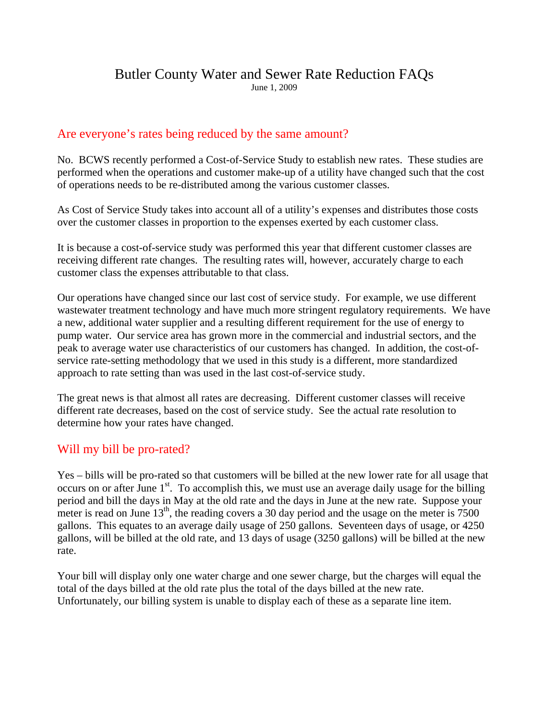#### Butler County Water and Sewer Rate Reduction FAQs June 1, 2009

#### Are everyone's rates being reduced by the same amount?

No. BCWS recently performed a Cost-of-Service Study to establish new rates. These studies are performed when the operations and customer make-up of a utility have changed such that the cost of operations needs to be re-distributed among the various customer classes.

As Cost of Service Study takes into account all of a utility's expenses and distributes those costs over the customer classes in proportion to the expenses exerted by each customer class.

It is because a cost-of-service study was performed this year that different customer classes are receiving different rate changes. The resulting rates will, however, accurately charge to each customer class the expenses attributable to that class.

Our operations have changed since our last cost of service study. For example, we use different wastewater treatment technology and have much more stringent regulatory requirements. We have a new, additional water supplier and a resulting different requirement for the use of energy to pump water. Our service area has grown more in the commercial and industrial sectors, and the peak to average water use characteristics of our customers has changed. In addition, the cost-ofservice rate-setting methodology that we used in this study is a different, more standardized approach to rate setting than was used in the last cost-of-service study.

The great news is that almost all rates are decreasing. Different customer classes will receive different rate decreases, based on the cost of service study. See the actual rate resolution to determine how your rates have changed.

### Will my bill be pro-rated?

Yes – bills will be pro-rated so that customers will be billed at the new lower rate for all usage that occurs on or after June  $1<sup>st</sup>$ . To accomplish this, we must use an average daily usage for the billing period and bill the days in May at the old rate and the days in June at the new rate. Suppose your meter is read on June  $13<sup>th</sup>$ , the reading covers a 30 day period and the usage on the meter is 7500 gallons. This equates to an average daily usage of 250 gallons. Seventeen days of usage, or 4250 gallons, will be billed at the old rate, and 13 days of usage (3250 gallons) will be billed at the new rate.

Your bill will display only one water charge and one sewer charge, but the charges will equal the total of the days billed at the old rate plus the total of the days billed at the new rate. Unfortunately, our billing system is unable to display each of these as a separate line item.